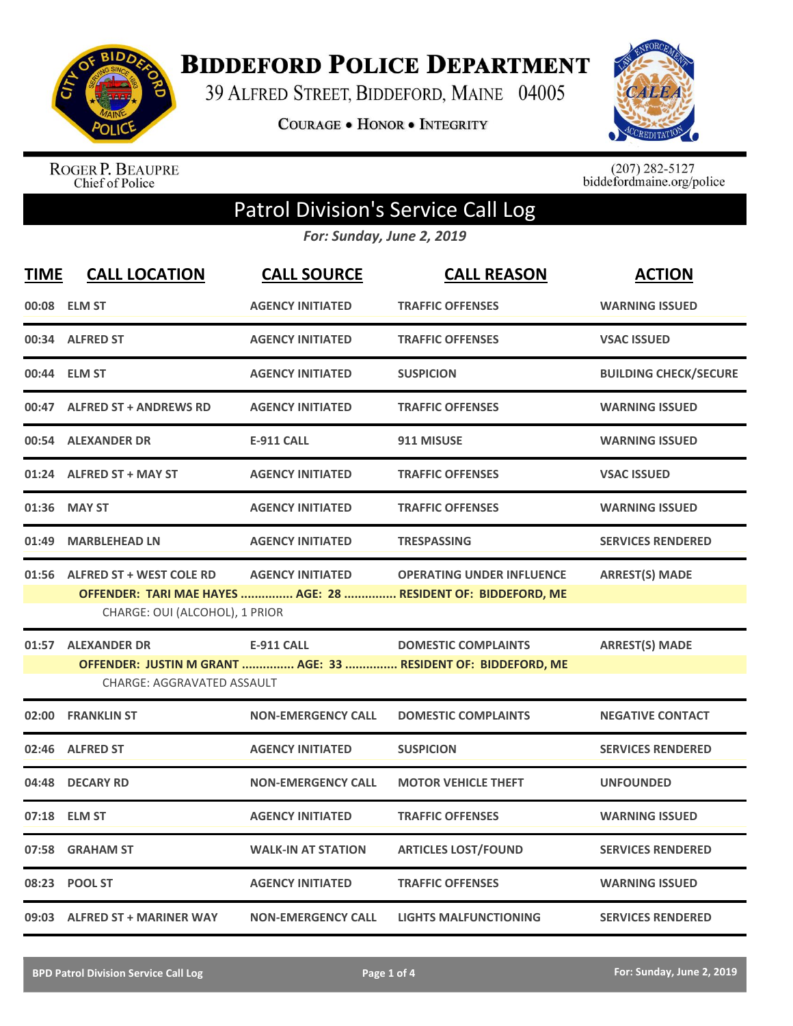

**BIDDEFORD POLICE DEPARTMENT** 

39 ALFRED STREET, BIDDEFORD, MAINE 04005

COURAGE . HONOR . INTEGRITY



ROGER P. BEAUPRE<br>Chief of Police

 $(207)$  282-5127<br>biddefordmaine.org/police

## Patrol Division's Service Call Log

*For: Sunday, June 2, 2019*

| <b>TIME</b> | <b>CALL LOCATION</b>                                             | <b>CALL SOURCE</b>        | <b>CALL REASON</b>                                                                                | <b>ACTION</b>                |
|-------------|------------------------------------------------------------------|---------------------------|---------------------------------------------------------------------------------------------------|------------------------------|
|             | 00:08 ELM ST                                                     | <b>AGENCY INITIATED</b>   | <b>TRAFFIC OFFENSES</b>                                                                           | <b>WARNING ISSUED</b>        |
|             | 00:34 ALFRED ST                                                  | <b>AGENCY INITIATED</b>   | <b>TRAFFIC OFFENSES</b>                                                                           | <b>VSAC ISSUED</b>           |
|             | 00:44 ELM ST                                                     | <b>AGENCY INITIATED</b>   | <b>SUSPICION</b>                                                                                  | <b>BUILDING CHECK/SECURE</b> |
|             | 00:47 ALFRED ST + ANDREWS RD                                     | <b>AGENCY INITIATED</b>   | <b>TRAFFIC OFFENSES</b>                                                                           | <b>WARNING ISSUED</b>        |
|             | 00:54 ALEXANDER DR                                               | <b>E-911 CALL</b>         | 911 MISUSE                                                                                        | <b>WARNING ISSUED</b>        |
|             | 01:24 ALFRED ST + MAY ST                                         | <b>AGENCY INITIATED</b>   | <b>TRAFFIC OFFENSES</b>                                                                           | <b>VSAC ISSUED</b>           |
|             | 01:36 MAY ST                                                     | <b>AGENCY INITIATED</b>   | <b>TRAFFIC OFFENSES</b>                                                                           | <b>WARNING ISSUED</b>        |
|             | 01:49 MARBLEHEAD LN                                              | <b>AGENCY INITIATED</b>   | <b>TRESPASSING</b>                                                                                | <b>SERVICES RENDERED</b>     |
|             | 01:56 ALFRED ST + WEST COLE RD<br>CHARGE: OUI (ALCOHOL), 1 PRIOR | <b>AGENCY INITIATED</b>   | <b>OPERATING UNDER INFLUENCE</b><br>OFFENDER: TARI MAE HAYES  AGE: 28  RESIDENT OF: BIDDEFORD, ME | <b>ARREST(S) MADE</b>        |
|             | 01:57 ALEXANDER DR<br><b>CHARGE: AGGRAVATED ASSAULT</b>          | <b>E-911 CALL</b>         | <b>DOMESTIC COMPLAINTS</b><br>OFFENDER: JUSTIN M GRANT  AGE: 33  RESIDENT OF: BIDDEFORD, ME       | <b>ARREST(S) MADE</b>        |
|             | 02:00 FRANKLIN ST                                                | <b>NON-EMERGENCY CALL</b> | <b>DOMESTIC COMPLAINTS</b>                                                                        | <b>NEGATIVE CONTACT</b>      |
| 02:46       | <b>ALFRED ST</b>                                                 | <b>AGENCY INITIATED</b>   | <b>SUSPICION</b>                                                                                  | <b>SERVICES RENDERED</b>     |
| 04:48       | <b>DECARY RD</b>                                                 | <b>NON-EMERGENCY CALL</b> | <b>MOTOR VEHICLE THEFT</b>                                                                        | <b>UNFOUNDED</b>             |
|             | 07:18 ELM ST                                                     | <b>AGENCY INITIATED</b>   | <b>TRAFFIC OFFENSES</b>                                                                           | <b>WARNING ISSUED</b>        |
|             | 07:58 GRAHAM ST                                                  | <b>WALK-IN AT STATION</b> | <b>ARTICLES LOST/FOUND</b>                                                                        | <b>SERVICES RENDERED</b>     |
|             | 08:23 POOL ST                                                    | <b>AGENCY INITIATED</b>   | <b>TRAFFIC OFFENSES</b>                                                                           | <b>WARNING ISSUED</b>        |
|             | 09:03 ALFRED ST + MARINER WAY                                    | <b>NON-EMERGENCY CALL</b> | <b>LIGHTS MALFUNCTIONING</b>                                                                      | <b>SERVICES RENDERED</b>     |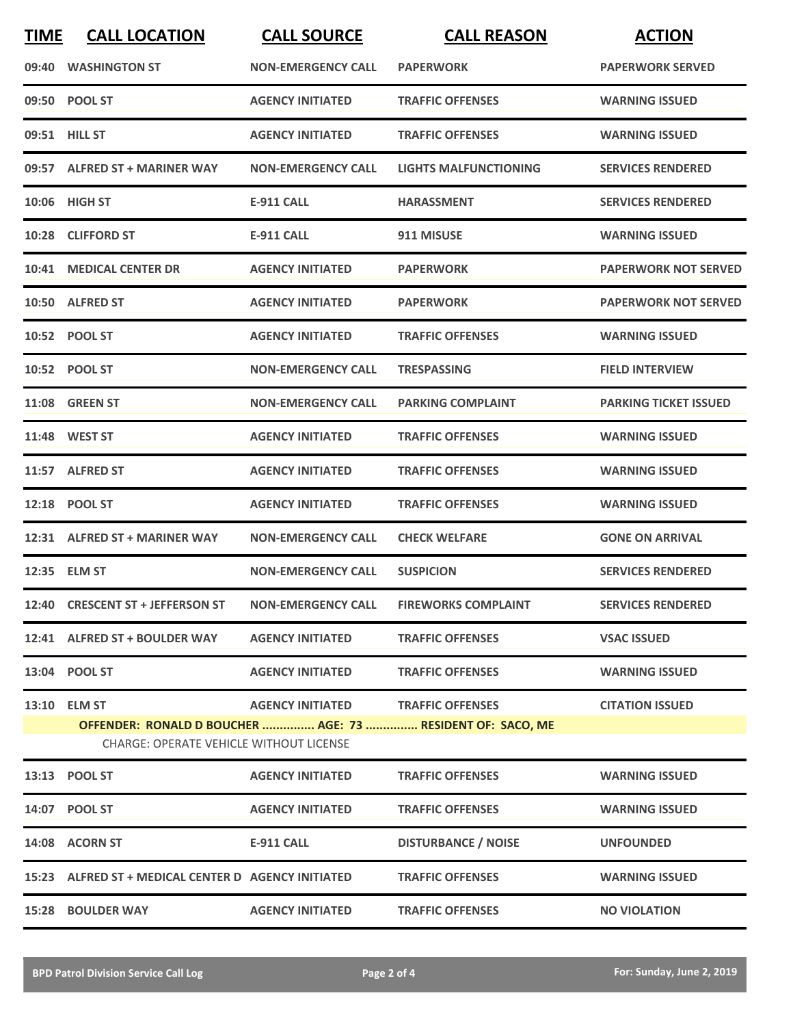| <b>TIME</b> | <b>CALL LOCATION</b>                                                                                         | <b>CALL SOURCE</b>                | <b>CALL REASON</b>           | <b>ACTION</b>                |
|-------------|--------------------------------------------------------------------------------------------------------------|-----------------------------------|------------------------------|------------------------------|
|             | 09:40 WASHINGTON ST                                                                                          | <b>NON-EMERGENCY CALL</b>         | <b>PAPERWORK</b>             | <b>PAPERWORK SERVED</b>      |
|             | 09:50 POOL ST                                                                                                | <b>AGENCY INITIATED</b>           | <b>TRAFFIC OFFENSES</b>      | <b>WARNING ISSUED</b>        |
|             | 09:51 HILL ST                                                                                                | <b>AGENCY INITIATED</b>           | <b>TRAFFIC OFFENSES</b>      | <b>WARNING ISSUED</b>        |
|             | 09:57 ALFRED ST + MARINER WAY                                                                                | <b>NON-EMERGENCY CALL</b>         | <b>LIGHTS MALFUNCTIONING</b> | <b>SERVICES RENDERED</b>     |
|             | 10:06 HIGH ST                                                                                                | E-911 CALL                        | <b>HARASSMENT</b>            | <b>SERVICES RENDERED</b>     |
|             | 10:28 CLIFFORD ST                                                                                            | <b>E-911 CALL</b>                 | 911 MISUSE                   | <b>WARNING ISSUED</b>        |
|             | 10:41 MEDICAL CENTER DR                                                                                      | <b>AGENCY INITIATED</b>           | <b>PAPERWORK</b>             | <b>PAPERWORK NOT SERVED</b>  |
|             | 10:50 ALFRED ST                                                                                              | <b>AGENCY INITIATED</b>           | <b>PAPERWORK</b>             | <b>PAPERWORK NOT SERVED</b>  |
|             | 10:52 POOL ST                                                                                                | <b>AGENCY INITIATED</b>           | <b>TRAFFIC OFFENSES</b>      | <b>WARNING ISSUED</b>        |
|             | 10:52 POOL ST                                                                                                | <b>NON-EMERGENCY CALL</b>         | <b>TRESPASSING</b>           | <b>FIELD INTERVIEW</b>       |
|             | <b>11:08 GREEN ST</b>                                                                                        | <b>NON-EMERGENCY CALL</b>         | <b>PARKING COMPLAINT</b>     | <b>PARKING TICKET ISSUED</b> |
|             | 11:48 WEST ST                                                                                                | <b>AGENCY INITIATED</b>           | <b>TRAFFIC OFFENSES</b>      | <b>WARNING ISSUED</b>        |
|             | 11:57 ALFRED ST                                                                                              | <b>AGENCY INITIATED</b>           | <b>TRAFFIC OFFENSES</b>      | <b>WARNING ISSUED</b>        |
|             | 12:18 POOL ST                                                                                                | <b>AGENCY INITIATED</b>           | <b>TRAFFIC OFFENSES</b>      | <b>WARNING ISSUED</b>        |
|             | 12:31 ALFRED ST + MARINER WAY                                                                                | <b>NON-EMERGENCY CALL</b>         | <b>CHECK WELFARE</b>         | <b>GONE ON ARRIVAL</b>       |
|             | 12:35 ELM ST                                                                                                 | <b>NON-EMERGENCY CALL</b>         | <b>SUSPICION</b>             | <b>SERVICES RENDERED</b>     |
|             | 12:40 CRESCENT ST + JEFFERSON ST                                                                             | <b>NON-EMERGENCY CALL</b>         | <b>FIREWORKS COMPLAINT</b>   | <b>SERVICES RENDERED</b>     |
|             | 12:41 ALFRED ST + BOULDER WAY                                                                                | <b>AGENCY INITIATED</b>           | <b>TRAFFIC OFFENSES</b>      | <b>VSAC ISSUED</b>           |
|             | 13:04 POOL ST                                                                                                | <b>AGENCY INITIATED</b>           | <b>TRAFFIC OFFENSES</b>      | <b>WARNING ISSUED</b>        |
|             | 13:10 ELM ST                                                                                                 | AGENCY INITIATED TRAFFIC OFFENSES |                              | <b>CITATION ISSUED</b>       |
|             | OFFENDER: RONALD D BOUCHER  AGE: 73  RESIDENT OF: SACO, ME<br><b>CHARGE: OPERATE VEHICLE WITHOUT LICENSE</b> |                                   |                              |                              |
|             | 13:13 POOL ST                                                                                                | <b>AGENCY INITIATED</b>           | <b>TRAFFIC OFFENSES</b>      | <b>WARNING ISSUED</b>        |
|             | 14:07 POOL ST                                                                                                | <b>AGENCY INITIATED</b>           | <b>TRAFFIC OFFENSES</b>      | <b>WARNING ISSUED</b>        |
|             | 14:08 ACORN ST                                                                                               | <b>E-911 CALL</b>                 | <b>DISTURBANCE / NOISE</b>   | <b>UNFOUNDED</b>             |
|             | 15:23 ALFRED ST + MEDICAL CENTER D AGENCY INITIATED                                                          |                                   | <b>TRAFFIC OFFENSES</b>      | <b>WARNING ISSUED</b>        |
|             | <b>15:28 BOULDER WAY</b>                                                                                     | <b>AGENCY INITIATED</b>           | <b>TRAFFIC OFFENSES</b>      | <b>NO VIOLATION</b>          |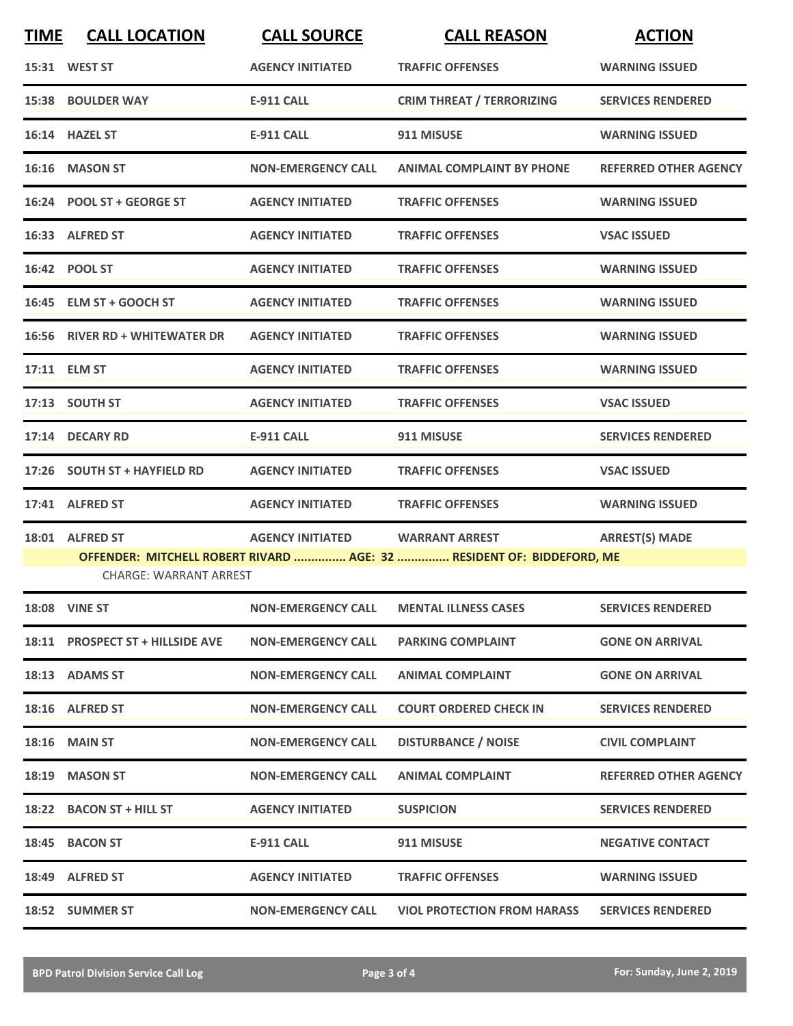| <b>TIME</b> | <b>CALL LOCATION</b>             | <b>CALL SOURCE</b>        | <b>CALL REASON</b>                                                    | <b>ACTION</b>                |
|-------------|----------------------------------|---------------------------|-----------------------------------------------------------------------|------------------------------|
|             | 15:31 WEST ST                    | <b>AGENCY INITIATED</b>   | <b>TRAFFIC OFFENSES</b>                                               | <b>WARNING ISSUED</b>        |
|             | 15:38 BOULDER WAY                | <b>E-911 CALL</b>         | <b>CRIM THREAT / TERRORIZING</b>                                      | <b>SERVICES RENDERED</b>     |
|             | 16:14 HAZEL ST                   | <b>E-911 CALL</b>         | 911 MISUSE                                                            | <b>WARNING ISSUED</b>        |
|             | 16:16 MASON ST                   | <b>NON-EMERGENCY CALL</b> | <b>ANIMAL COMPLAINT BY PHONE</b>                                      | <b>REFERRED OTHER AGENCY</b> |
|             | 16:24 POOL ST + GEORGE ST        | <b>AGENCY INITIATED</b>   | <b>TRAFFIC OFFENSES</b>                                               | <b>WARNING ISSUED</b>        |
|             | 16:33 ALFRED ST                  | <b>AGENCY INITIATED</b>   | <b>TRAFFIC OFFENSES</b>                                               | <b>VSAC ISSUED</b>           |
|             | 16:42 POOL ST                    | <b>AGENCY INITIATED</b>   | <b>TRAFFIC OFFENSES</b>                                               | <b>WARNING ISSUED</b>        |
|             | 16:45 ELM ST + GOOCH ST          | <b>AGENCY INITIATED</b>   | <b>TRAFFIC OFFENSES</b>                                               | <b>WARNING ISSUED</b>        |
|             | 16:56 RIVER RD + WHITEWATER DR   | <b>AGENCY INITIATED</b>   | <b>TRAFFIC OFFENSES</b>                                               | <b>WARNING ISSUED</b>        |
|             | 17:11 ELM ST                     | <b>AGENCY INITIATED</b>   | <b>TRAFFIC OFFENSES</b>                                               | <b>WARNING ISSUED</b>        |
|             | 17:13 SOUTH ST                   | <b>AGENCY INITIATED</b>   | <b>TRAFFIC OFFENSES</b>                                               | <b>VSAC ISSUED</b>           |
|             | 17:14 DECARY RD                  | <b>E-911 CALL</b>         | 911 MISUSE                                                            | <b>SERVICES RENDERED</b>     |
|             | 17:26 SOUTH ST + HAYFIELD RD     | <b>AGENCY INITIATED</b>   | <b>TRAFFIC OFFENSES</b>                                               | <b>VSAC ISSUED</b>           |
|             | 17:41 ALFRED ST                  | <b>AGENCY INITIATED</b>   | <b>TRAFFIC OFFENSES</b>                                               | <b>WARNING ISSUED</b>        |
|             | 18:01 ALFRED ST                  | <b>AGENCY INITIATED</b>   | <b>WARRANT ARREST</b>                                                 | <b>ARREST(S) MADE</b>        |
|             | <b>CHARGE: WARRANT ARREST</b>    |                           | OFFENDER: MITCHELL ROBERT RIVARD  AGE: 32  RESIDENT OF: BIDDEFORD, ME |                              |
|             | <b>18:08 VINE ST</b>             | <b>NON-EMERGENCY CALL</b> | <b>MENTAL ILLNESS CASES</b>                                           | <b>SERVICES RENDERED</b>     |
|             | 18:11 PROSPECT ST + HILLSIDE AVE | <b>NON-EMERGENCY CALL</b> | <b>PARKING COMPLAINT</b>                                              | <b>GONE ON ARRIVAL</b>       |
|             | 18:13 ADAMS ST                   | <b>NON-EMERGENCY CALL</b> | <b>ANIMAL COMPLAINT</b>                                               | <b>GONE ON ARRIVAL</b>       |
|             | 18:16 ALFRED ST                  | <b>NON-EMERGENCY CALL</b> | <b>COURT ORDERED CHECK IN</b>                                         | <b>SERVICES RENDERED</b>     |
|             | <b>18:16 MAIN ST</b>             | <b>NON-EMERGENCY CALL</b> | <b>DISTURBANCE / NOISE</b>                                            | <b>CIVIL COMPLAINT</b>       |
|             | 18:19 MASON ST                   | <b>NON-EMERGENCY CALL</b> | <b>ANIMAL COMPLAINT</b>                                               | <b>REFERRED OTHER AGENCY</b> |
|             | 18:22 BACON ST + HILL ST         | <b>AGENCY INITIATED</b>   | <b>SUSPICION</b>                                                      | <b>SERVICES RENDERED</b>     |
|             | 18:45 BACON ST                   | <b>E-911 CALL</b>         | 911 MISUSE                                                            | <b>NEGATIVE CONTACT</b>      |
|             | 18:49 ALFRED ST                  | <b>AGENCY INITIATED</b>   | <b>TRAFFIC OFFENSES</b>                                               | <b>WARNING ISSUED</b>        |
|             | 18:52 SUMMER ST                  | <b>NON-EMERGENCY CALL</b> | <b>VIOL PROTECTION FROM HARASS</b>                                    | <b>SERVICES RENDERED</b>     |